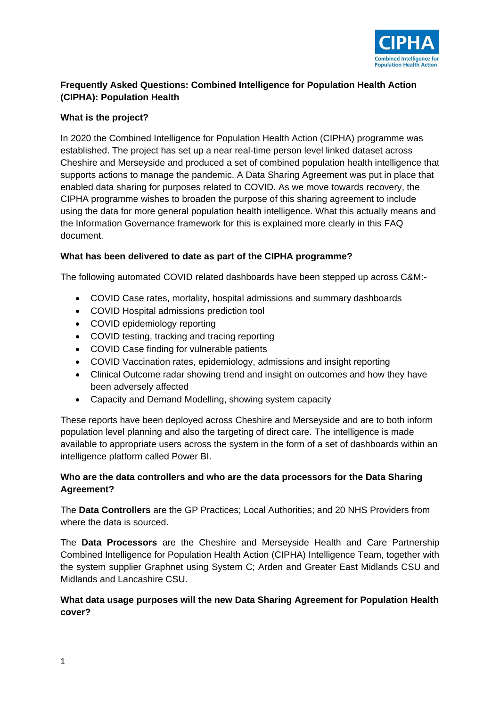

# **Frequently Asked Questions: Combined Intelligence for Population Health Action (CIPHA): Population Health**

# **What is the project?**

In 2020 the Combined Intelligence for Population Health Action (CIPHA) programme was established. The project has set up a near real-time person level linked dataset across Cheshire and Merseyside and produced a set of combined population health intelligence that supports actions to manage the pandemic. A Data Sharing Agreement was put in place that enabled data sharing for purposes related to COVID. As we move towards recovery, the CIPHA programme wishes to broaden the purpose of this sharing agreement to include using the data for more general population health intelligence. What this actually means and the Information Governance framework for this is explained more clearly in this FAQ document.

# **What has been delivered to date as part of the CIPHA programme?**

The following automated COVID related dashboards have been stepped up across C&M:-

- COVID Case rates, mortality, hospital admissions and summary dashboards
- COVID Hospital admissions prediction tool
- COVID epidemiology reporting
- COVID testing, tracking and tracing reporting
- COVID Case finding for vulnerable patients
- COVID Vaccination rates, epidemiology, admissions and insight reporting
- Clinical Outcome radar showing trend and insight on outcomes and how they have been adversely affected
- Capacity and Demand Modelling, showing system capacity

These reports have been deployed across Cheshire and Merseyside and are to both inform population level planning and also the targeting of direct care. The intelligence is made available to appropriate users across the system in the form of a set of dashboards within an intelligence platform called Power BI.

# **Who are the data controllers and who are the data processors for the Data Sharing Agreement?**

The **Data Controllers** are the GP Practices; Local Authorities; and 20 NHS Providers from where the data is sourced.

The **Data Processors** are the Cheshire and Merseyside Health and Care Partnership Combined Intelligence for Population Health Action (CIPHA) Intelligence Team, together with the system supplier Graphnet using System C; Arden and Greater East Midlands CSU and Midlands and Lancashire CSU.

# **What data usage purposes will the new Data Sharing Agreement for Population Health cover?**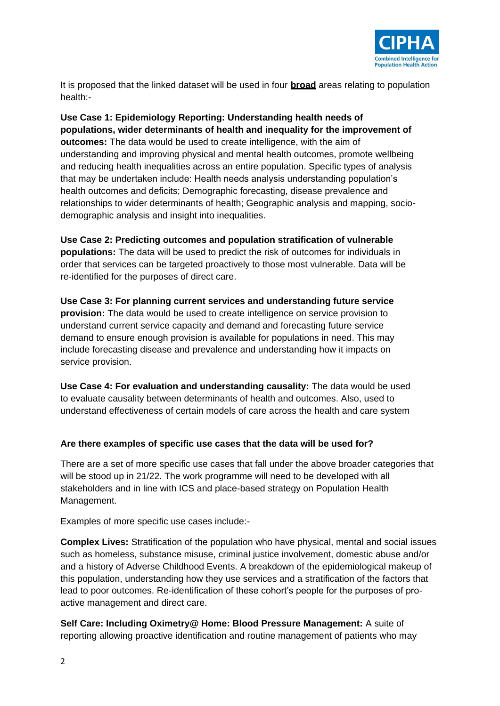

It is proposed that the linked dataset will be used in four **broad** areas relating to population health:-

**Use Case 1: Epidemiology Reporting: Understanding health needs of populations, wider determinants of health and inequality for the improvement of outcomes:** The data would be used to create intelligence, with the aim of understanding and improving physical and mental health outcomes, promote wellbeing and reducing health inequalities across an entire population. Specific types of analysis that may be undertaken include: Health needs analysis understanding population's health outcomes and deficits; Demographic forecasting, disease prevalence and relationships to wider determinants of health; Geographic analysis and mapping, sociodemographic analysis and insight into inequalities.

**Use Case 2: Predicting outcomes and population stratification of vulnerable populations:** The data will be used to predict the risk of outcomes for individuals in order that services can be targeted proactively to those most vulnerable. Data will be re-identified for the purposes of direct care.

**Use Case 3: For planning current services and understanding future service provision:** The data would be used to create intelligence on service provision to understand current service capacity and demand and forecasting future service demand to ensure enough provision is available for populations in need. This may include forecasting disease and prevalence and understanding how it impacts on service provision.

**Use Case 4: For evaluation and understanding causality:** The data would be used to evaluate causality between determinants of health and outcomes. Also, used to understand effectiveness of certain models of care across the health and care system

## **Are there examples of specific use cases that the data will be used for?**

There are a set of more specific use cases that fall under the above broader categories that will be stood up in 21/22. The work programme will need to be developed with all stakeholders and in line with ICS and place-based strategy on Population Health Management.

Examples of more specific use cases include:-

**Complex Lives:** Stratification of the population who have physical, mental and social issues such as homeless, substance misuse, criminal justice involvement, domestic abuse and/or and a history of Adverse Childhood Events. A breakdown of the epidemiological makeup of this population, understanding how they use services and a stratification of the factors that lead to poor outcomes. Re-identification of these cohort's people for the purposes of proactive management and direct care.

**Self Care: Including Oximetry@ Home: Blood Pressure Management:** A suite of reporting allowing proactive identification and routine management of patients who may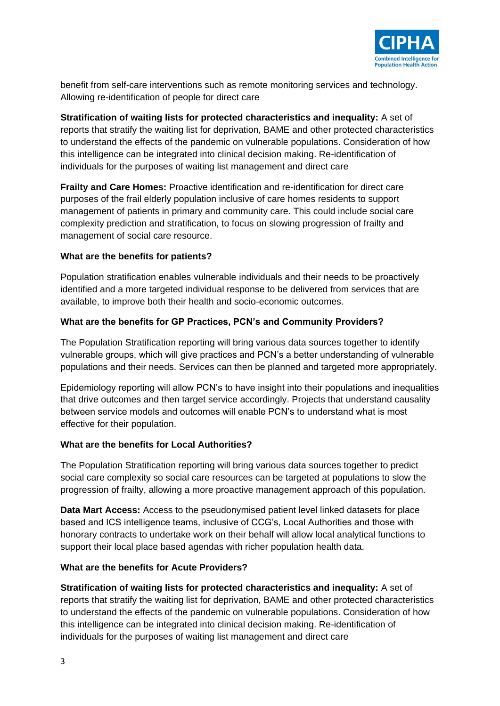

benefit from self-care interventions such as remote monitoring services and technology. Allowing re-identification of people for direct care

**Stratification of waiting lists for protected characteristics and inequality:** A set of reports that stratify the waiting list for deprivation, BAME and other protected characteristics to understand the effects of the pandemic on vulnerable populations. Consideration of how this intelligence can be integrated into clinical decision making. Re-identification of individuals for the purposes of waiting list management and direct care

**Frailty and Care Homes:** Proactive identification and re-identification for direct care purposes of the frail elderly population inclusive of care homes residents to support management of patients in primary and community care. This could include social care complexity prediction and stratification, to focus on slowing progression of frailty and management of social care resource.

## **What are the benefits for patients?**

Population stratification enables vulnerable individuals and their needs to be proactively identified and a more targeted individual response to be delivered from services that are available, to improve both their health and socio-economic outcomes.

# **What are the benefits for GP Practices, PCN's and Community Providers?**

The Population Stratification reporting will bring various data sources together to identify vulnerable groups, which will give practices and PCN's a better understanding of vulnerable populations and their needs. Services can then be planned and targeted more appropriately.

Epidemiology reporting will allow PCN's to have insight into their populations and inequalities that drive outcomes and then target service accordingly. Projects that understand causality between service models and outcomes will enable PCN's to understand what is most effective for their population.

## **What are the benefits for Local Authorities?**

The Population Stratification reporting will bring various data sources together to predict social care complexity so social care resources can be targeted at populations to slow the progression of frailty, allowing a more proactive management approach of this population.

**Data Mart Access:** Access to the pseudonymised patient level linked datasets for place based and ICS intelligence teams, inclusive of CCG's, Local Authorities and those with honorary contracts to undertake work on their behalf will allow local analytical functions to support their local place based agendas with richer population health data.

## **What are the benefits for Acute Providers?**

**Stratification of waiting lists for protected characteristics and inequality:** A set of reports that stratify the waiting list for deprivation, BAME and other protected characteristics to understand the effects of the pandemic on vulnerable populations. Consideration of how this intelligence can be integrated into clinical decision making. Re-identification of individuals for the purposes of waiting list management and direct care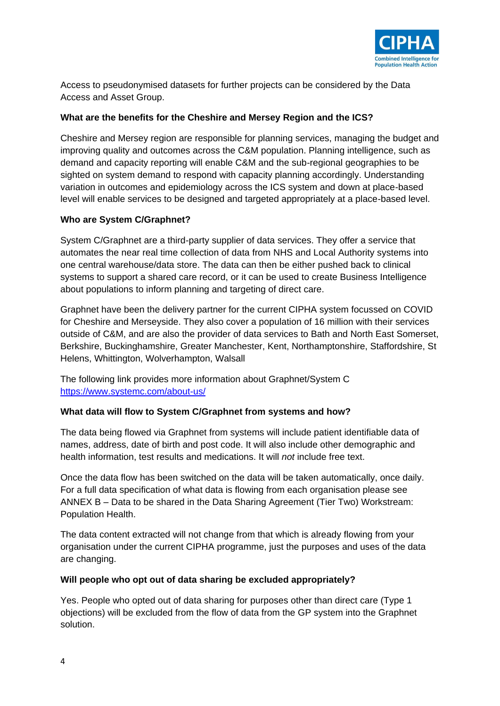

Access to pseudonymised datasets for further projects can be considered by the Data Access and Asset Group.

# **What are the benefits for the Cheshire and Mersey Region and the ICS?**

Cheshire and Mersey region are responsible for planning services, managing the budget and improving quality and outcomes across the C&M population. Planning intelligence, such as demand and capacity reporting will enable C&M and the sub-regional geographies to be sighted on system demand to respond with capacity planning accordingly. Understanding variation in outcomes and epidemiology across the ICS system and down at place-based level will enable services to be designed and targeted appropriately at a place-based level.

# **Who are System C/Graphnet?**

System C/Graphnet are a third-party supplier of data services. They offer a service that automates the near real time collection of data from NHS and Local Authority systems into one central warehouse/data store. The data can then be either pushed back to clinical systems to support a shared care record, or it can be used to create Business Intelligence about populations to inform planning and targeting of direct care.

Graphnet have been the delivery partner for the current CIPHA system focussed on COVID for Cheshire and Merseyside. They also cover a population of 16 million with their services outside of C&M, and are also the provider of data services to Bath and North East Somerset, Berkshire, Buckinghamshire, Greater Manchester, Kent, Northamptonshire, Staffordshire, St Helens, Whittington, Wolverhampton, Walsall

The following link provides more information about Graphnet/System C <https://www.systemc.com/about-us/>

## **What data will flow to System C/Graphnet from systems and how?**

The data being flowed via Graphnet from systems will include patient identifiable data of names, address, date of birth and post code. It will also include other demographic and health information, test results and medications. It will *not* include free text.

Once the data flow has been switched on the data will be taken automatically, once daily. For a full data specification of what data is flowing from each organisation please see ANNEX B – Data to be shared in the Data Sharing Agreement (Tier Two) Workstream: Population Health.

The data content extracted will not change from that which is already flowing from your organisation under the current CIPHA programme, just the purposes and uses of the data are changing.

## **Will people who opt out of data sharing be excluded appropriately?**

Yes. People who opted out of data sharing for purposes other than direct care (Type 1 objections) will be excluded from the flow of data from the GP system into the Graphnet solution.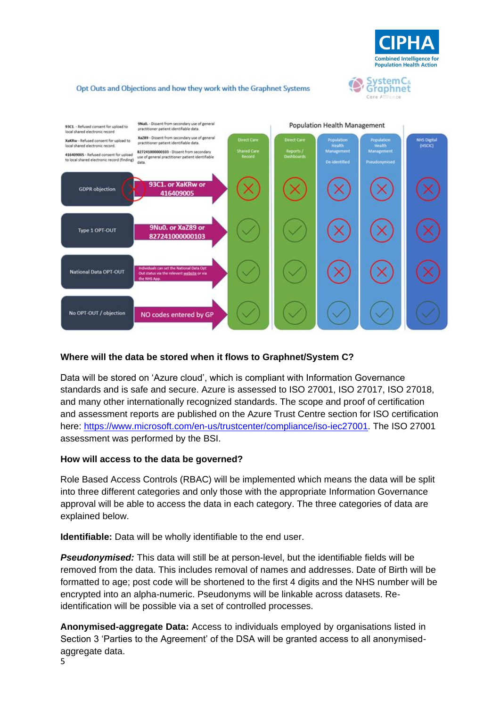



#### Opt Outs and Objections and how they work with the Graphnet Systems



#### **Where will the data be stored when it flows to Graphnet/System C?**

Data will be stored on 'Azure cloud', which is compliant with Information Governance standards and is safe and secure. Azure is assessed to ISO 27001, ISO 27017, ISO 27018, and many other internationally recognized standards. The scope and proof of certification and assessment reports are published on the Azure Trust Centre section for ISO certification here: [https://www.microsoft.com/en-us/trustcenter/compliance/iso-iec27001.](https://www.microsoft.com/en-us/trustcenter/compliance/iso-iec27001) The ISO 27001 assessment was performed by the BSI.

#### **How will access to the data be governed?**

Role Based Access Controls (RBAC) will be implemented which means the data will be split into three different categories and only those with the appropriate Information Governance approval will be able to access the data in each category. The three categories of data are explained below.

**Identifiable:** Data will be wholly identifiable to the end user.

*Pseudonymised:* This data will still be at person-level, but the identifiable fields will be removed from the data. This includes removal of names and addresses. Date of Birth will be formatted to age; post code will be shortened to the first 4 digits and the NHS number will be encrypted into an alpha-numeric. Pseudonyms will be linkable across datasets. Reidentification will be possible via a set of controlled processes.

**Anonymised-aggregate Data:** Access to individuals employed by organisations listed in Section 3 'Parties to the Agreement' of the DSA will be granted access to all anonymisedaggregate data.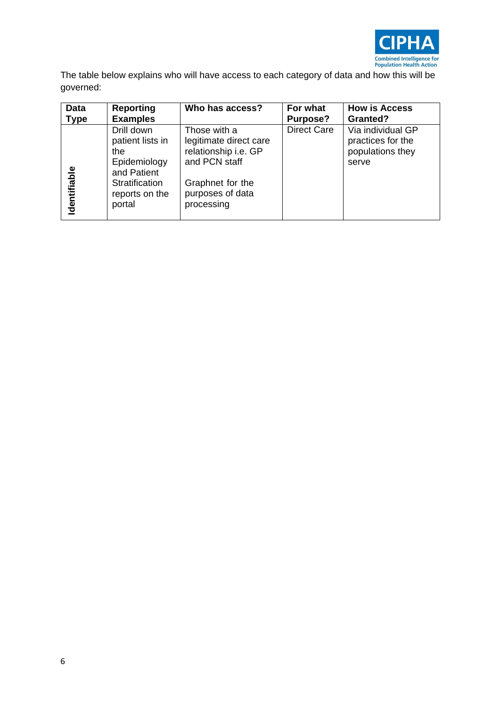

The table below explains who will have access to each category of data and how this will be governed:

| <b>Data</b> | <b>Reporting</b>                                                                                                   | Who has access?                                                                                                                       | For what           | <b>How is Access</b>                                                |
|-------------|--------------------------------------------------------------------------------------------------------------------|---------------------------------------------------------------------------------------------------------------------------------------|--------------------|---------------------------------------------------------------------|
| <b>Type</b> | <b>Examples</b>                                                                                                    |                                                                                                                                       | Purpose?           | <b>Granted?</b>                                                     |
| dentifiable | Drill down<br>patient lists in<br>the<br>Epidemiology<br>and Patient<br>Stratification<br>reports on the<br>portal | Those with a<br>legitimate direct care<br>relationship i.e. GP<br>and PCN staff<br>Graphnet for the<br>purposes of data<br>processing | <b>Direct Care</b> | Via individual GP<br>practices for the<br>populations they<br>serve |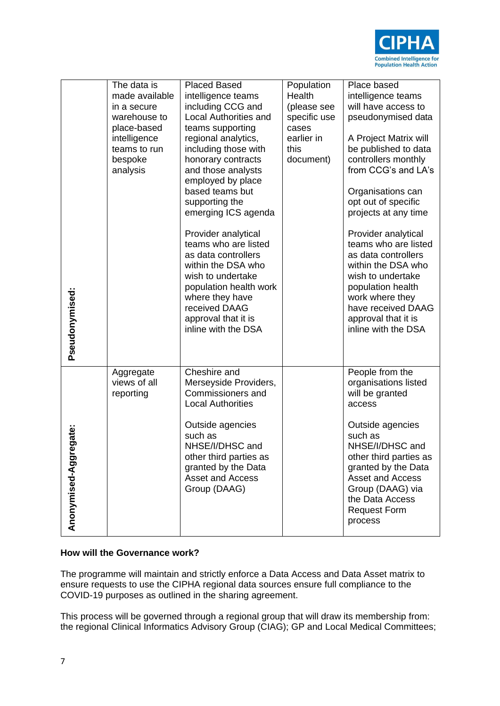

| Pseudonymised:           | The data is<br>made available<br>in a secure<br>warehouse to<br>place-based<br>intelligence<br>teams to run<br>bespoke<br>analysis | <b>Placed Based</b><br>intelligence teams<br>including CCG and<br><b>Local Authorities and</b><br>teams supporting<br>regional analytics,<br>including those with<br>honorary contracts<br>and those analysts<br>employed by place<br>based teams but<br>supporting the<br>emerging ICS agenda<br>Provider analytical<br>teams who are listed<br>as data controllers<br>within the DSA who<br>wish to undertake<br>population health work<br>where they have<br>received DAAG<br>approval that it is<br>inline with the DSA | Population<br>Health<br>(please see<br>specific use<br>cases<br>earlier in<br>this<br>document) | Place based<br>intelligence teams<br>will have access to<br>pseudonymised data<br>A Project Matrix will<br>be published to data<br>controllers monthly<br>from CCG's and LA's<br>Organisations can<br>opt out of specific<br>projects at any time<br>Provider analytical<br>teams who are listed<br>as data controllers<br>within the DSA who<br>wish to undertake<br>population health<br>work where they<br>have received DAAG<br>approval that it is<br>inline with the DSA |
|--------------------------|------------------------------------------------------------------------------------------------------------------------------------|-----------------------------------------------------------------------------------------------------------------------------------------------------------------------------------------------------------------------------------------------------------------------------------------------------------------------------------------------------------------------------------------------------------------------------------------------------------------------------------------------------------------------------|-------------------------------------------------------------------------------------------------|--------------------------------------------------------------------------------------------------------------------------------------------------------------------------------------------------------------------------------------------------------------------------------------------------------------------------------------------------------------------------------------------------------------------------------------------------------------------------------|
| egate:<br>Anonymised-Agg | Aggregate<br>views of all<br>reporting                                                                                             | Cheshire and<br>Merseyside Providers,<br>Commissioners and<br><b>Local Authorities</b><br>Outside agencies<br>such as<br>NHSE/I/DHSC and<br>other third parties as<br>granted by the Data<br>Asset and Access<br>Group (DAAG)                                                                                                                                                                                                                                                                                               |                                                                                                 | People from the<br>organisations listed<br>will be granted<br>access<br>Outside agencies<br>such as<br>NHSE/I/DHSC and<br>other third parties as<br>granted by the Data<br>Asset and Access<br>Group (DAAG) via<br>the Data Access<br><b>Request Form</b><br>process                                                                                                                                                                                                           |

## **How will the Governance work?**

The programme will maintain and strictly enforce a Data Access and Data Asset matrix to ensure requests to use the CIPHA regional data sources ensure full compliance to the COVID-19 purposes as outlined in the sharing agreement.

This process will be governed through a regional group that will draw its membership from: the regional Clinical Informatics Advisory Group (CIAG); GP and Local Medical Committees;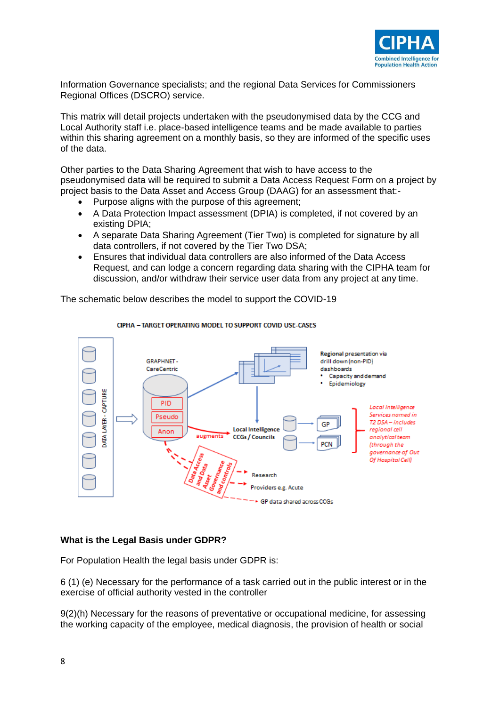

Information Governance specialists; and the regional Data Services for Commissioners Regional Offices (DSCRO) service.

This matrix will detail projects undertaken with the pseudonymised data by the CCG and Local Authority staff i.e. place-based intelligence teams and be made available to parties within this sharing agreement on a monthly basis, so they are informed of the specific uses of the data.

Other parties to the Data Sharing Agreement that wish to have access to the pseudonymised data will be required to submit a Data Access Request Form on a project by project basis to the Data Asset and Access Group (DAAG) for an assessment that:-

- Purpose aligns with the purpose of this agreement;
- A Data Protection Impact assessment (DPIA) is completed, if not covered by an existing DPIA;
- A separate Data Sharing Agreement (Tier Two) is completed for signature by all data controllers, if not covered by the Tier Two DSA;
- Ensures that individual data controllers are also informed of the Data Access Request, and can lodge a concern regarding data sharing with the CIPHA team for discussion, and/or withdraw their service user data from any project at any time.

The schematic below describes the model to support the COVID-19



#### CIPHA - TARGET OPERATING MODEL TO SUPPORT COVID USE-CASES

#### **What is the Legal Basis under GDPR?**

For Population Health the legal basis under GDPR is:

6 (1) (e) Necessary for the performance of a task carried out in the public interest or in the exercise of official authority vested in the controller

9(2)(h) Necessary for the reasons of preventative or occupational medicine, for assessing the working capacity of the employee, medical diagnosis, the provision of health or social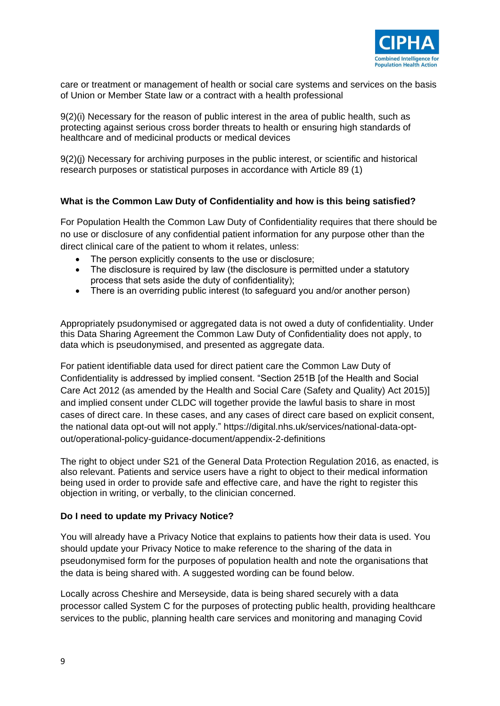

care or treatment or management of health or social care systems and services on the basis of Union or Member State law or a contract with a health professional

9(2)(i) Necessary for the reason of public interest in the area of public health, such as protecting against serious cross border threats to health or ensuring high standards of healthcare and of medicinal products or medical devices

9(2)(j) Necessary for archiving purposes in the public interest, or scientific and historical research purposes or statistical purposes in accordance with Article 89 (1)

## **What is the Common Law Duty of Confidentiality and how is this being satisfied?**

For Population Health the Common Law Duty of Confidentiality requires that there should be no use or disclosure of any confidential patient information for any purpose other than the direct clinical care of the patient to whom it relates, unless:

- The person explicitly consents to the use or disclosure;
- The disclosure is required by law (the disclosure is permitted under a statutory process that sets aside the duty of confidentiality);
- There is an overriding public interest (to safeguard you and/or another person)

Appropriately psudonymised or aggregated data is not owed a duty of confidentiality. Under this Data Sharing Agreement the Common Law Duty of Confidentiality does not apply, to data which is pseudonymised, and presented as aggregate data.

For patient identifiable data used for direct patient care the Common Law Duty of Confidentiality is addressed by implied consent. "Section 251B [of the Health and Social Care Act 2012 (as amended by the Health and Social Care (Safety and Quality) Act 2015)] and implied consent under CLDC will together provide the lawful basis to share in most cases of direct care. In these cases, and any cases of direct care based on explicit consent, the national data opt-out will not apply." [https://digital.nhs.uk/services/national-data-opt](https://digital.nhs.uk/services/national-data-opt-out/operational-policy-guidance-document/appendix-2-definitions)[out/operational-policy-guidance-document/appendix-2-definitions](https://digital.nhs.uk/services/national-data-opt-out/operational-policy-guidance-document/appendix-2-definitions)

The right to object under S21 of the General Data Protection Regulation 2016, as enacted, is also relevant. Patients and service users have a right to object to their medical information being used in order to provide safe and effective care, and have the right to register this objection in writing, or verbally, to the clinician concerned.

#### **Do I need to update my Privacy Notice?**

You will already have a Privacy Notice that explains to patients how their data is used. You should update your Privacy Notice to make reference to the sharing of the data in pseudonymised form for the purposes of population health and note the organisations that the data is being shared with. A suggested wording can be found below.

Locally across Cheshire and Merseyside, data is being shared securely with a data processor called System C for the purposes of protecting public health, providing healthcare services to the public, planning health care services and monitoring and managing Covid